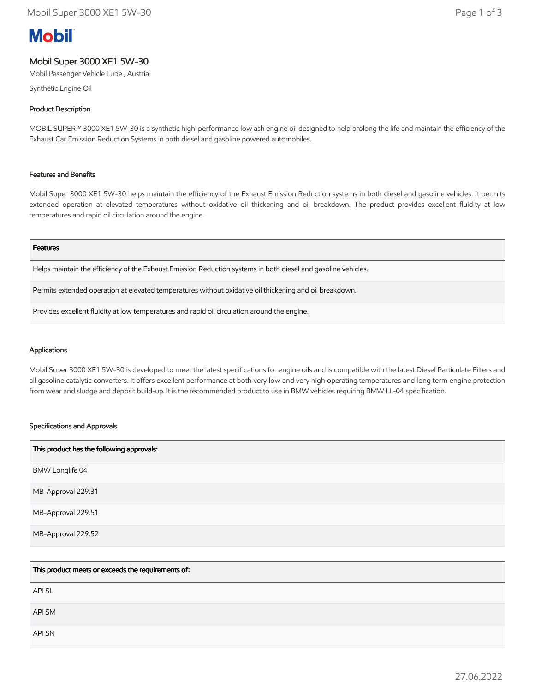# **Mobil**

# Mobil Super 3000 XE1 5W-30

Mobil Passenger Vehicle Lube , Austria

Synthetic Engine Oil

# Product Description

MOBIL SUPER™ 3000 XE1 5W-30 is a synthetic high-performance low ash engine oil designed to help prolong the life and maintain the efficiency of the Exhaust Car Emission Reduction Systems in both diesel and gasoline powered automobiles.

# Features and Benefits

Mobil Super 3000 XE1 5W-30 helps maintain the efficiency of the Exhaust Emission Reduction systems in both diesel and gasoline vehicles. It permits extended operation at elevated temperatures without oxidative oil thickening and oil breakdown. The product provides excellent fluidity at low temperatures and rapid oil circulation around the engine.

#### Features

Helps maintain the efficiency of the Exhaust Emission Reduction systems in both diesel and gasoline vehicles.

Permits extended operation at elevated temperatures without oxidative oil thickening and oil breakdown.

Provides excellent fluidity at low temperatures and rapid oil circulation around the engine.

# Applications

Mobil Super 3000 XE1 5W-30 is developed to meet the latest specifications for engine oils and is compatible with the latest Diesel Particulate Filters and all gasoline catalytic converters. It offers excellent performance at both very low and very high operating temperatures and long term engine protection from wear and sludge and deposit build-up. It is the recommended product to use in BMW vehicles requiring BMW LL-04 specification.

# Specifications and Approvals

| This product has the following approvals: |
|-------------------------------------------|
| BMW Longlife 04                           |
| MB-Approval 229.31                        |
| MB-Approval 229.51                        |
| MB-Approval 229.52                        |

| This product meets or exceeds the requirements of: |
|----------------------------------------------------|
| API SL                                             |
| API SM                                             |
| API SN                                             |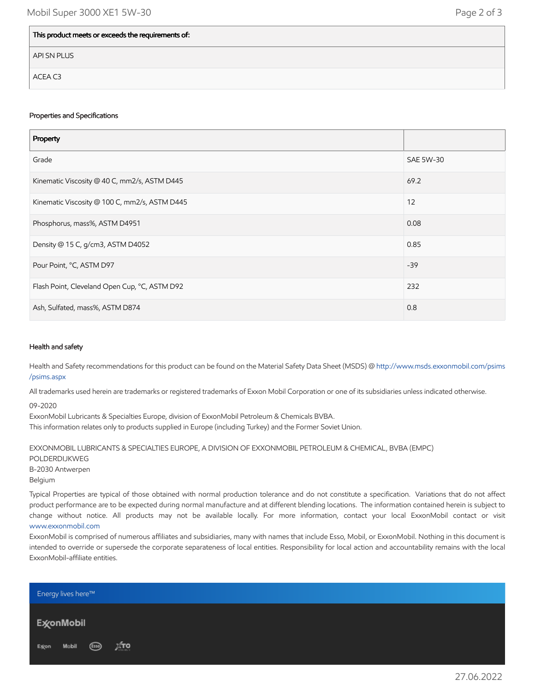| This product meets or exceeds the requirements of: |
|----------------------------------------------------|
| API SN PLUS                                        |
| ACEA C3                                            |

# Properties and Specifications

| Property                                      |           |
|-----------------------------------------------|-----------|
| Grade                                         | SAE 5W-30 |
| Kinematic Viscosity @ 40 C, mm2/s, ASTM D445  | 69.2      |
| Kinematic Viscosity @ 100 C, mm2/s, ASTM D445 | 12        |
| Phosphorus, mass%, ASTM D4951                 | 0.08      |
| Density @ 15 C, g/cm3, ASTM D4052             | 0.85      |
| Pour Point, °C, ASTM D97                      | $-39$     |
| Flash Point, Cleveland Open Cup, °C, ASTM D92 | 232       |
| Ash, Sulfated, mass%, ASTM D874               | 0.8       |

# Health and safety

Health and Safety recommendations for this product can be found on the Material Safety Data Sheet (MSDS) @ [http://www.msds.exxonmobil.com/psims](http://www.msds.exxonmobil.com/psims/psims.aspx) /psims.aspx

All trademarks used herein are trademarks or registered trademarks of Exxon Mobil Corporation or one of its subsidiaries unless indicated otherwise.

09-2020

ExxonMobil Lubricants & Specialties Europe, division of ExxonMobil Petroleum & Chemicals BVBA. This information relates only to products supplied in Europe (including Turkey) and the Former Soviet Union.

EXXONMOBIL LUBRICANTS & SPECIALTIES EUROPE, A DIVISION OF EXXONMOBIL PETROLEUM & CHEMICAL, BVBA (EMPC) POLDERDIJKWEG B-2030 Antwerpen Belgium

Typical Properties are typical of those obtained with normal production tolerance and do not constitute a specification. Variations that do not affect product performance are to be expected during normal manufacture and at different blending locations. The information contained herein is subject to change without notice. All products may not be available locally. For more information, contact your local ExxonMobil contact or visit [www.exxonmobil.com](http://www.exxonmobil.com/)

ExxonMobil is comprised of numerous affiliates and subsidiaries, many with names that include Esso, Mobil, or ExxonMobil. Nothing in this document is intended to override or supersede the corporate separateness of local entities. Responsibility for local action and accountability remains with the local ExxonMobil-affiliate entities.